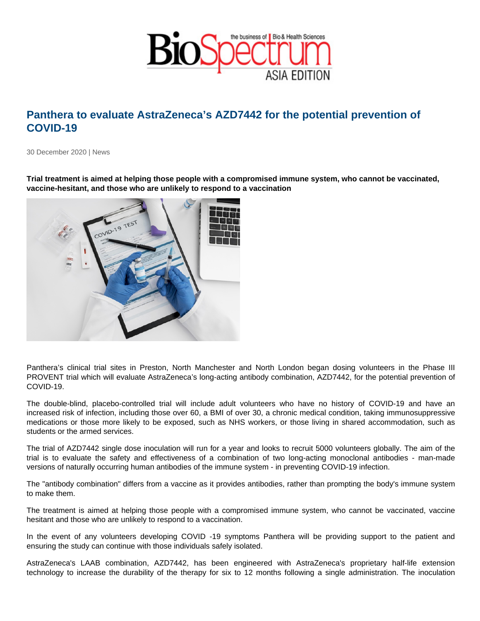## Panthera to evaluate AstraZeneca's AZD7442 for the potential prevention of COVID-19

30 December 2020 | News

Trial treatment is aimed at helping those people with a compromised immune system, who cannot be vaccinated, vaccine-hesitant, and those who are unlikely to respond to a vaccination

Panthera's clinical trial sites in Preston, North Manchester and North London began dosing volunteers in the Phase III PROVENT trial which will evaluate AstraZeneca's long-acting antibody combination, AZD7442, for the potential prevention of COVID-19.

The double-blind, placebo-controlled trial will include adult volunteers who have no history of COVID-19 and have an increased risk of infection, including those over 60, a BMI of over 30, a chronic medical condition, taking immunosuppressive medications or those more likely to be exposed, such as NHS workers, or those living in shared accommodation, such as students or the armed services.

The trial of AZD7442 single dose inoculation will run for a year and looks to recruit 5000 volunteers globally. The aim of the trial is to evaluate the safety and effectiveness of a combination of two long-acting monoclonal antibodies - man-made versions of naturally occurring human antibodies of the immune system - in preventing COVID-19 infection.

The "antibody combination" differs from a vaccine as it provides antibodies, rather than prompting the body's immune system to make them.

The treatment is aimed at helping those people with a compromised immune system, who cannot be vaccinated, vaccine hesitant and those who are unlikely to respond to a vaccination.

In the event of any volunteers developing COVID -19 symptoms Panthera will be providing support to the patient and ensuring the study can continue with those individuals safely isolated.

AstraZeneca's LAAB combination, AZD7442, has been engineered with AstraZeneca's proprietary half-life extension technology to increase the durability of the therapy for six to 12 months following a single administration. The inoculation